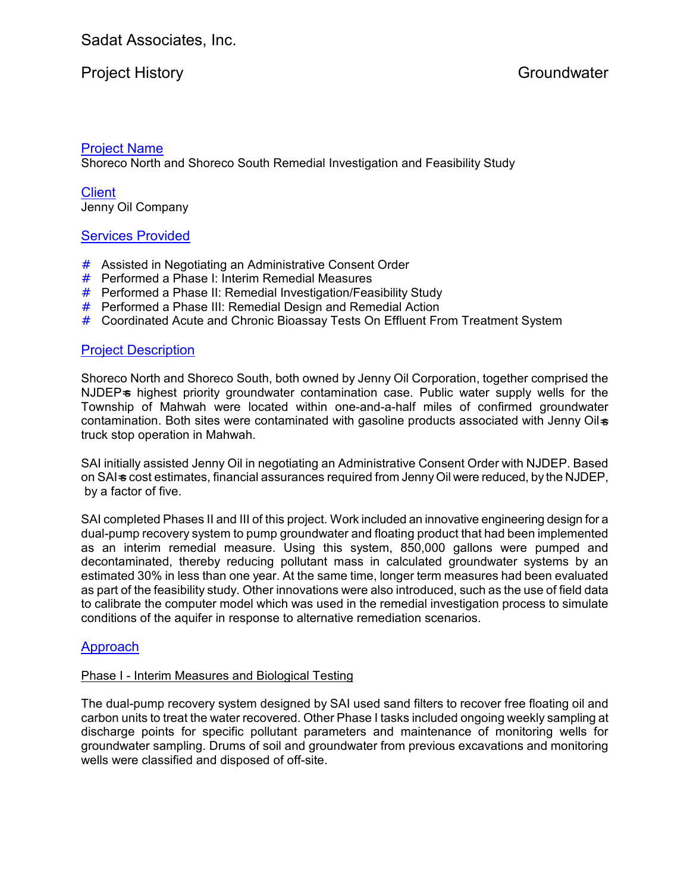# Project History **Groundwater** Groundwater

## Project Name

Shoreco North and Shoreco South Remedial Investigation and Feasibility Study

**Client** Jenny Oil Company

# Services Provided

- # Assisted in Negotiating an Administrative Consent Order
- # Performed a Phase I: Interim Remedial Measures
- # Performed a Phase II: Remedial Investigation/Feasibility Study
- $#$  Performed a Phase III: Remedial Design and Remedial Action
- # Coordinated Acute and Chronic Bioassay Tests On Effluent From Treatment System

## Project Description

Shoreco North and Shoreco South, both owned by Jenny Oil Corporation, together comprised the NJDEPs highest priority groundwater contamination case. Public water supply wells for the Township of Mahwah were located within one-and-a-half miles of confirmed groundwater contamination. Both sites were contaminated with gasoline products associated with Jenny Oil-s truck stop operation in Mahwah.

SAI initially assisted Jenny Oil in negotiating an Administrative Consent Order with NJDEP. Based on SAI-s cost estimates, financial assurances required from Jenny Oil were reduced, by the NJDEP, by a factor of five.

SAI completed Phases II and III of this project. Work included an innovative engineering design for a dual-pump recovery system to pump groundwater and floating product that had been implemented as an interim remedial measure. Using this system, 850,000 gallons were pumped and decontaminated, thereby reducing pollutant mass in calculated groundwater systems by an estimated 30% in less than one year. At the same time, longer term measures had been evaluated as part of the feasibility study. Other innovations were also introduced, such as the use of field data to calibrate the computer model which was used in the remedial investigation process to simulate conditions of the aquifer in response to alternative remediation scenarios.

# Approach

#### Phase I - Interim Measures and Biological Testing

The dual-pump recovery system designed by SAI used sand filters to recover free floating oil and carbon units to treat the water recovered. Other Phase I tasks included ongoing weekly sampling at discharge points for specific pollutant parameters and maintenance of monitoring wells for groundwater sampling. Drums of soil and groundwater from previous excavations and monitoring wells were classified and disposed of off-site.